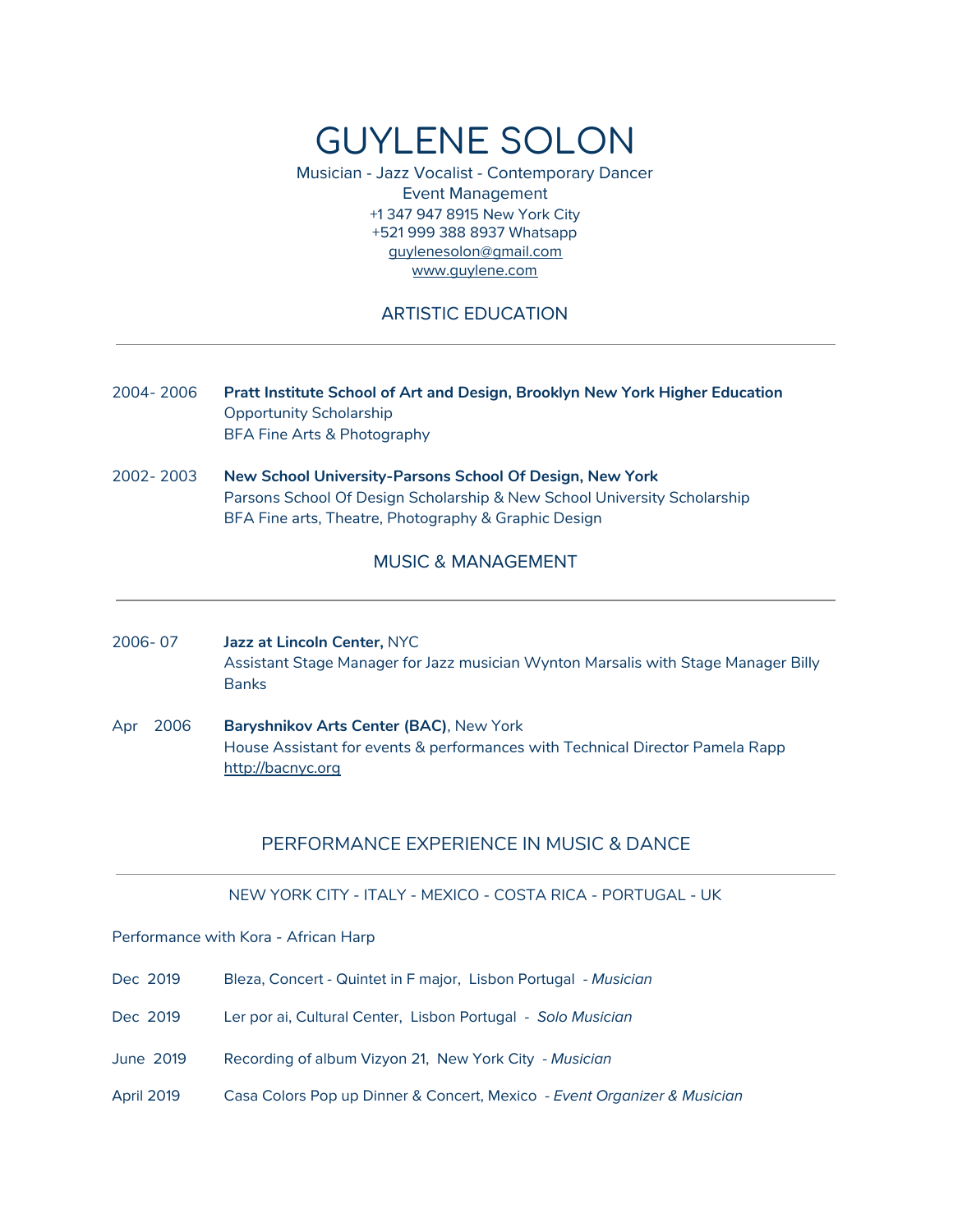# GUYLENE SOLON

Musician - Jazz Vocalist - Contemporary Dancer Event Management +1 347 947 8915 New York City +521 999 388 8937 Whatsapp [guylenesolon@gmail.com](mailto:guylenesolon@gmail.com) [www.guylene.com](http://www.guylene.com/)

## ARTISTIC EDUCATION

- 2004- 2006 **Pratt Institute School of Art and Design, Brooklyn New York Higher Education** Opportunity Scholarship BFA Fine Arts & Photography
- 2002- 2003 **New School University-Parsons School Of Design, New York** Parsons School Of Design Scholarship & New School University Scholarship BFA Fine arts, Theatre, Photography & Graphic Design

#### MUSIC & MANAGEMENT

- 2006- 07 **Jazz at Lincoln Center,** NYC Assistant Stage Manager for Jazz musician Wynton Marsalis with Stage Manager Billy **Banks**
- Apr 2006 **Baryshnikov Arts Center (BAC)**, New York House Assistant for events & performances with Technical Director Pamela Rapp [http://bacnyc.org](http://bacnyc.org/)

### PERFORMANCE EXPERIENCE IN MUSIC & DANCE

#### NEW YORK CITY - ITALY - MEXICO - COSTA RICA - PORTUGAL - UK

#### Performance with Kora - African Harp

- Dec 2019 Bleza, Concert Quintet in F major, Lisbon Portugal Musician
- Dec 2019 Ler por ai, Cultural Center, Lisbon Portugal Solo Musician
- June 2019 Recording of album Vizyon 21, New York City Musician
- April 2019 Casa Colors Pop up Dinner & Concert, Mexico Event Organizer & Musician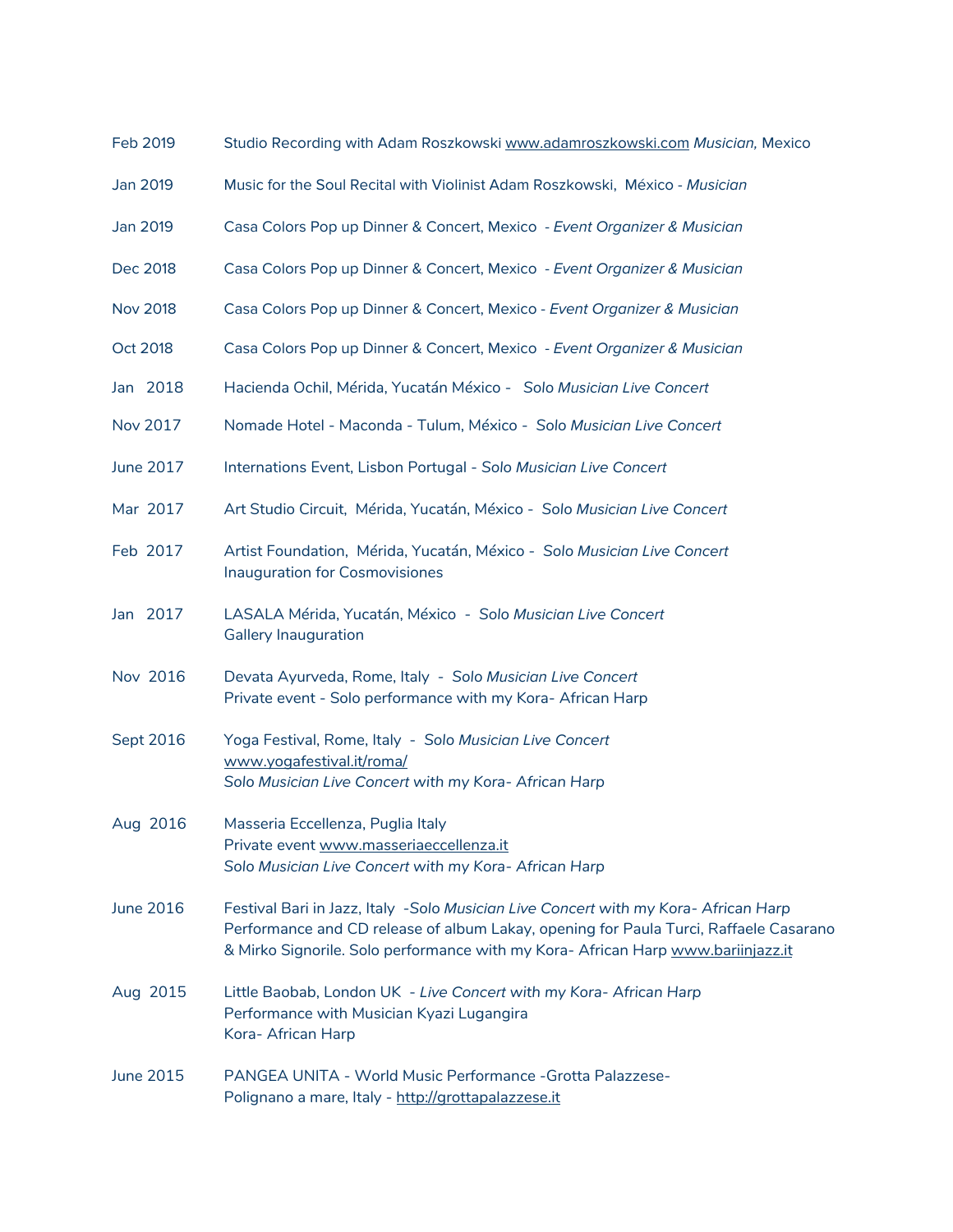- Feb 2019 Studio Recording with Adam Roszkowski [www.adamroszkowski.com](http://www.adamroszkowski.com/) Musician, Mexico
- Jan 2019 Music for the Soul Recital with Violinist Adam Roszkowski, México Musician
- Jan 2019 Casa Colors Pop up Dinner & Concert, Mexico Event Organizer & Musician
- Dec 2018 Casa Colors Pop up Dinner & Concert, Mexico Event Organizer & Musician
- Nov 2018 Casa Colors Pop up Dinner & Concert, Mexico Event Organizer & Musician
- Oct 2018 Casa Colors Pop up Dinner & Concert, Mexico Event Organizer & Musician
- Jan 2018 Hacienda Ochil, Mérida, Yucatán México *Solo* Musician Live Concert
- Nov 2017 Nomade Hotel Maconda Tulum, México *Solo* Musician Live Concert
- June 2017 Internations Event, Lisbon Portugal *Solo* Musician Live Concert
- Mar 2017 Art Studio Circuit, Mérida, Yucatán, México *Solo* Musician Live Concert
- Feb 2017 Artist Foundation, Mérida, Yucatán, México *Solo* Musician Live Concert Inauguration for Cosmovisiones
- Jan 2017 LASALA Mérida, Yucatán, México *Solo* Musician Live Concert Gallery Inauguration
- Nov 2016 Devata Ayurveda, Rome, Italy *Solo* Musician Live Concert Private event - Solo performance with my Kora- African Harp
- Sept 2016 Yoga Festival, Rome, Italy *Solo* Musician Live Concert [www.yogafestival.it/roma/](http://www.yogafestival.it/roma/) *Solo* Musician Live Concert *with my Kora- African Harp*
- Aug 2016 Masseria Eccellenza, Puglia Italy Private event [www.masseriaeccellenza.it](http://www.masseriaeccellenza.it/) *Solo* Musician Live Concert *with my Kora- African Harp*
- June 2016 Festival Bari in Jazz, Italy -*Solo* Musician Live Concert *with my Kora- African Harp* Performance and CD release of album Lakay, opening for Paula Turci, Raffaele Casarano & Mirko Signorile. Solo performance with my Kora- African Harp [www.bariinjazz.it](http://www.bariinjazz.it/)
- Aug 2015 Little Baobab, London UK Live Concert *with my Kora- African Harp* Performance with Musician Kyazi Lugangira Kora- African Harp
- June 2015 PANGEA UNITA World Music Performance -Grotta Palazzese-Polignano a mare, Italy - [http://grottapalazzese.it](http://grottapalazzese.it/)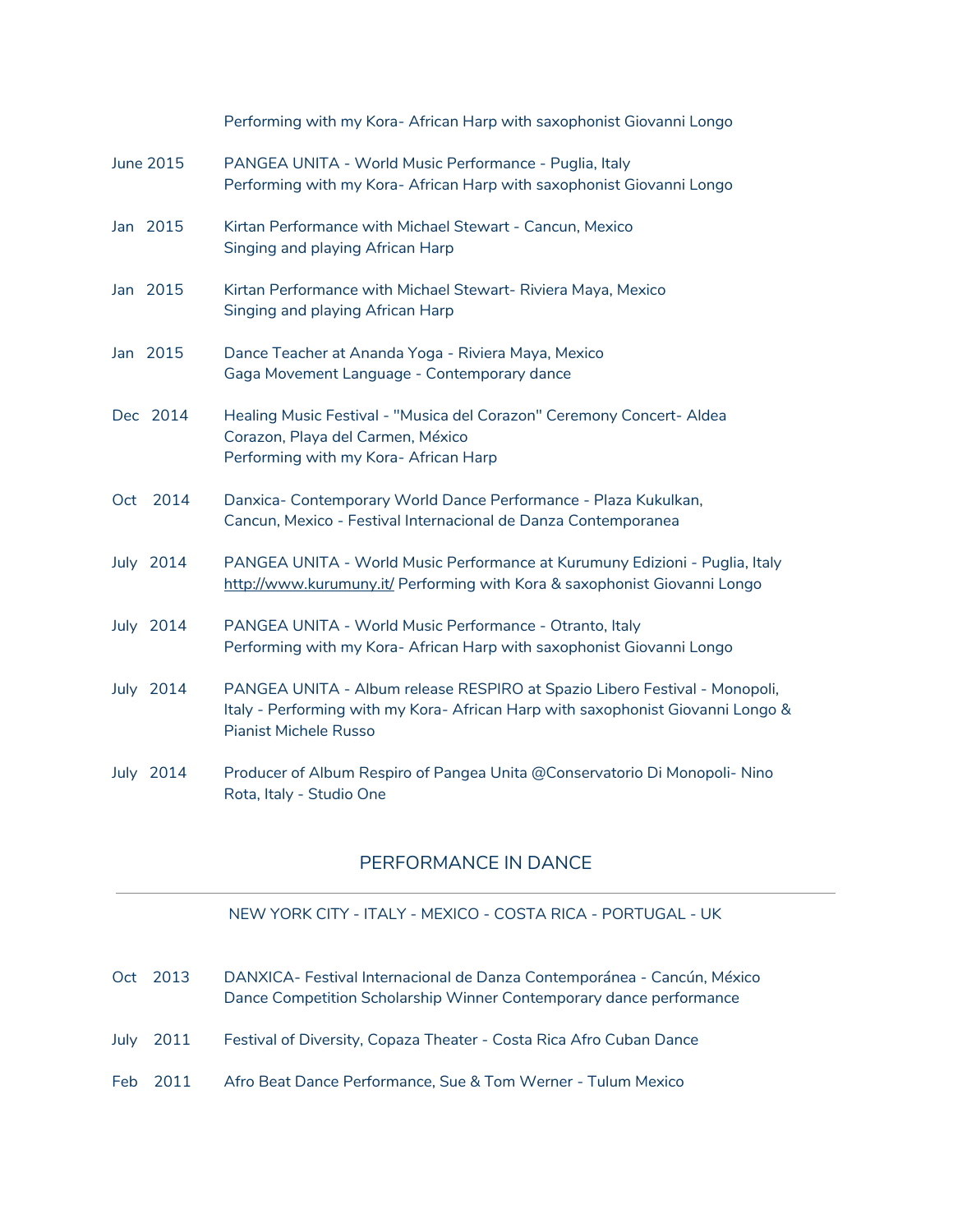|                  | Performing with my Kora- African Harp with saxophonist Giovanni Longo                                                                                                                         |
|------------------|-----------------------------------------------------------------------------------------------------------------------------------------------------------------------------------------------|
| <b>June 2015</b> | PANGEA UNITA - World Music Performance - Puglia, Italy<br>Performing with my Kora- African Harp with saxophonist Giovanni Longo                                                               |
| Jan 2015         | Kirtan Performance with Michael Stewart - Cancun, Mexico<br>Singing and playing African Harp                                                                                                  |
| Jan 2015         | Kirtan Performance with Michael Stewart- Riviera Maya, Mexico<br>Singing and playing African Harp                                                                                             |
| Jan 2015         | Dance Teacher at Ananda Yoga - Riviera Maya, Mexico<br>Gaga Movement Language - Contemporary dance                                                                                            |
| Dec 2014         | Healing Music Festival - "Musica del Corazon" Ceremony Concert-Aldea<br>Corazon, Playa del Carmen, México<br>Performing with my Kora- African Harp                                            |
| Oct 2014         | Danxica- Contemporary World Dance Performance - Plaza Kukulkan,<br>Cancun, Mexico - Festival Internacional de Danza Contemporanea                                                             |
| July 2014        | PANGEA UNITA - World Music Performance at Kurumuny Edizioni - Puglia, Italy<br>http://www.kurumuny.it/ Performing with Kora & saxophonist Giovanni Longo                                      |
| July 2014        | PANGEA UNITA - World Music Performance - Otranto, Italy<br>Performing with my Kora- African Harp with saxophonist Giovanni Longo                                                              |
| July 2014        | PANGEA UNITA - Album release RESPIRO at Spazio Libero Festival - Monopoli,<br>Italy - Performing with my Kora- African Harp with saxophonist Giovanni Longo &<br><b>Pianist Michele Russo</b> |
| July 2014        | Producer of Album Respiro of Pangea Unita @Conservatorio Di Monopoli- Nino<br>Rota, Italy - Studio One                                                                                        |

# PERFORMANCE IN DANCE

NEW YORK CITY - ITALY - MEXICO - COSTA RICA - PORTUGAL - UK

| Oct 2013  | DANXICA-Festival Internacional de Danza Contemporánea - Cancún, México<br>Dance Competition Scholarship Winner Contemporary dance performance |
|-----------|-----------------------------------------------------------------------------------------------------------------------------------------------|
| July 2011 | Festival of Diversity, Copaza Theater - Costa Rica Afro Cuban Dance                                                                           |
| Feb 2011  | Afro Beat Dance Performance, Sue & Tom Werner - Tulum Mexico                                                                                  |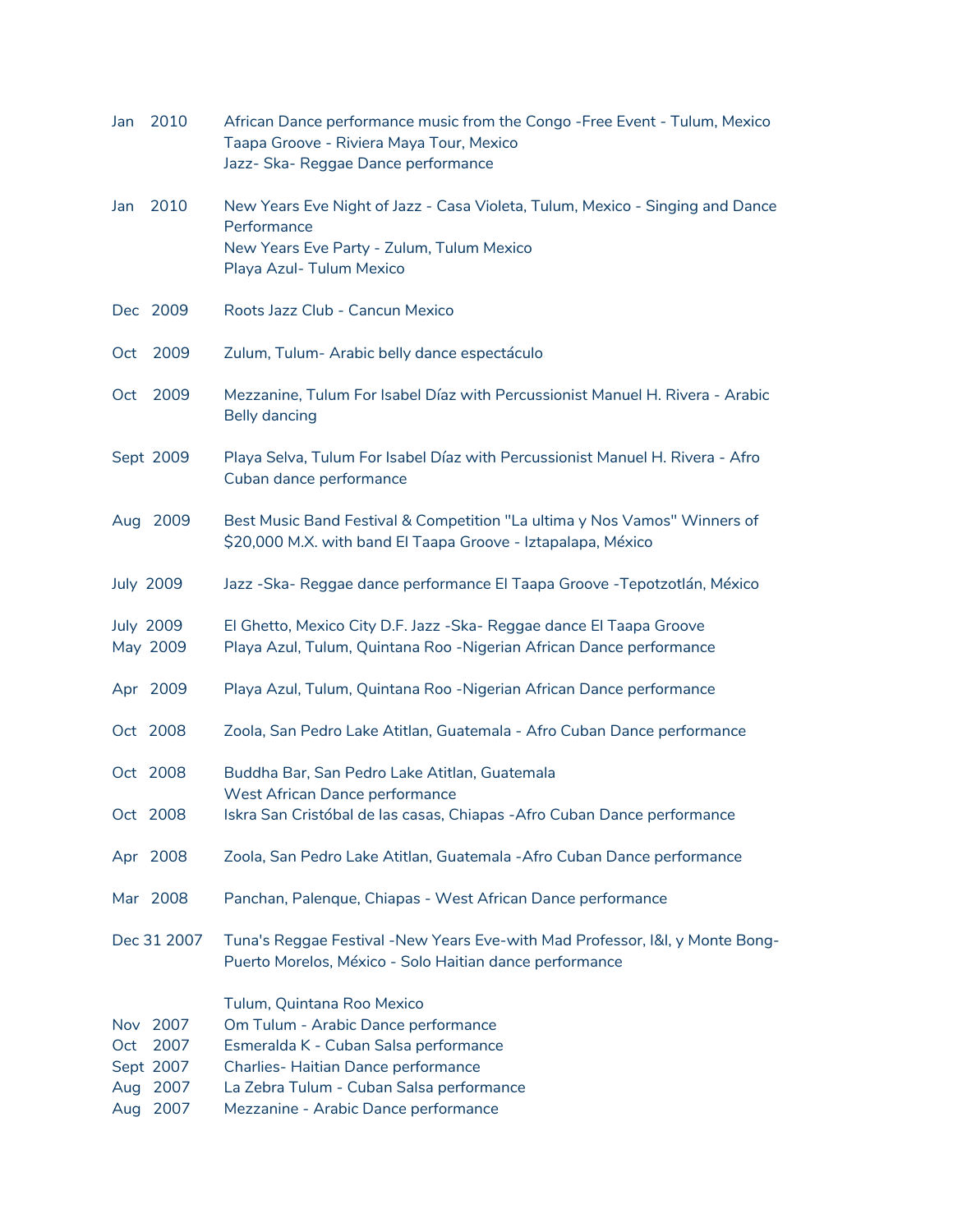| 2010<br>Jan                                                        | African Dance performance music from the Congo - Free Event - Tulum, Mexico<br>Taapa Groove - Riviera Maya Tour, Mexico<br>Jazz- Ska- Reggae Dance performance                                                                        |
|--------------------------------------------------------------------|---------------------------------------------------------------------------------------------------------------------------------------------------------------------------------------------------------------------------------------|
| 2010<br>Jan                                                        | New Years Eve Night of Jazz - Casa Violeta, Tulum, Mexico - Singing and Dance<br>Performance<br>New Years Eve Party - Zulum, Tulum Mexico<br>Playa Azul- Tulum Mexico                                                                 |
| Dec 2009                                                           | Roots Jazz Club - Cancun Mexico                                                                                                                                                                                                       |
| 2009<br>Oct                                                        | Zulum, Tulum- Arabic belly dance espectáculo                                                                                                                                                                                          |
| Oct 2009                                                           | Mezzanine, Tulum For Isabel Díaz with Percussionist Manuel H. Rivera - Arabic<br><b>Belly dancing</b>                                                                                                                                 |
| Sept 2009                                                          | Playa Selva, Tulum For Isabel Díaz with Percussionist Manuel H. Rivera - Afro<br>Cuban dance performance                                                                                                                              |
| Aug 2009                                                           | Best Music Band Festival & Competition "La ultima y Nos Vamos" Winners of<br>\$20,000 M.X. with band El Taapa Groove - Iztapalapa, México                                                                                             |
| <b>July 2009</b>                                                   | Jazz - Ska- Reggae dance performance El Taapa Groove - Tepotzotlán, México                                                                                                                                                            |
| <b>July 2009</b><br>May 2009                                       | El Ghetto, Mexico City D.F. Jazz -Ska- Reggae dance El Taapa Groove<br>Playa Azul, Tulum, Quintana Roo -Nigerian African Dance performance                                                                                            |
| Apr 2009                                                           | Playa Azul, Tulum, Quintana Roo -Nigerian African Dance performance                                                                                                                                                                   |
| Oct 2008                                                           | Zoola, San Pedro Lake Atitlan, Guatemala - Afro Cuban Dance performance                                                                                                                                                               |
| Oct 2008                                                           | Buddha Bar, San Pedro Lake Atitlan, Guatemala<br>West African Dance performance                                                                                                                                                       |
| Oct 2008                                                           | Iskra San Cristóbal de las casas, Chiapas - Afro Cuban Dance performance                                                                                                                                                              |
| Apr 2008                                                           | Zoola, San Pedro Lake Atitlan, Guatemala - Afro Cuban Dance performance                                                                                                                                                               |
| Mar 2008                                                           | Panchan, Palenque, Chiapas - West African Dance performance                                                                                                                                                                           |
| Dec 31 2007                                                        | Tuna's Reggae Festival -New Years Eve-with Mad Professor, I&I, y Monte Bong-<br>Puerto Morelos, México - Solo Haitian dance performance                                                                                               |
| Nov 2007<br>2007<br>Oct<br>Sept 2007<br>2007<br>Aug<br>2007<br>Aug | Tulum, Quintana Roo Mexico<br>Om Tulum - Arabic Dance performance<br>Esmeralda K - Cuban Salsa performance<br>Charlies- Haitian Dance performance<br>La Zebra Tulum - Cuban Salsa performance<br>Mezzanine - Arabic Dance performance |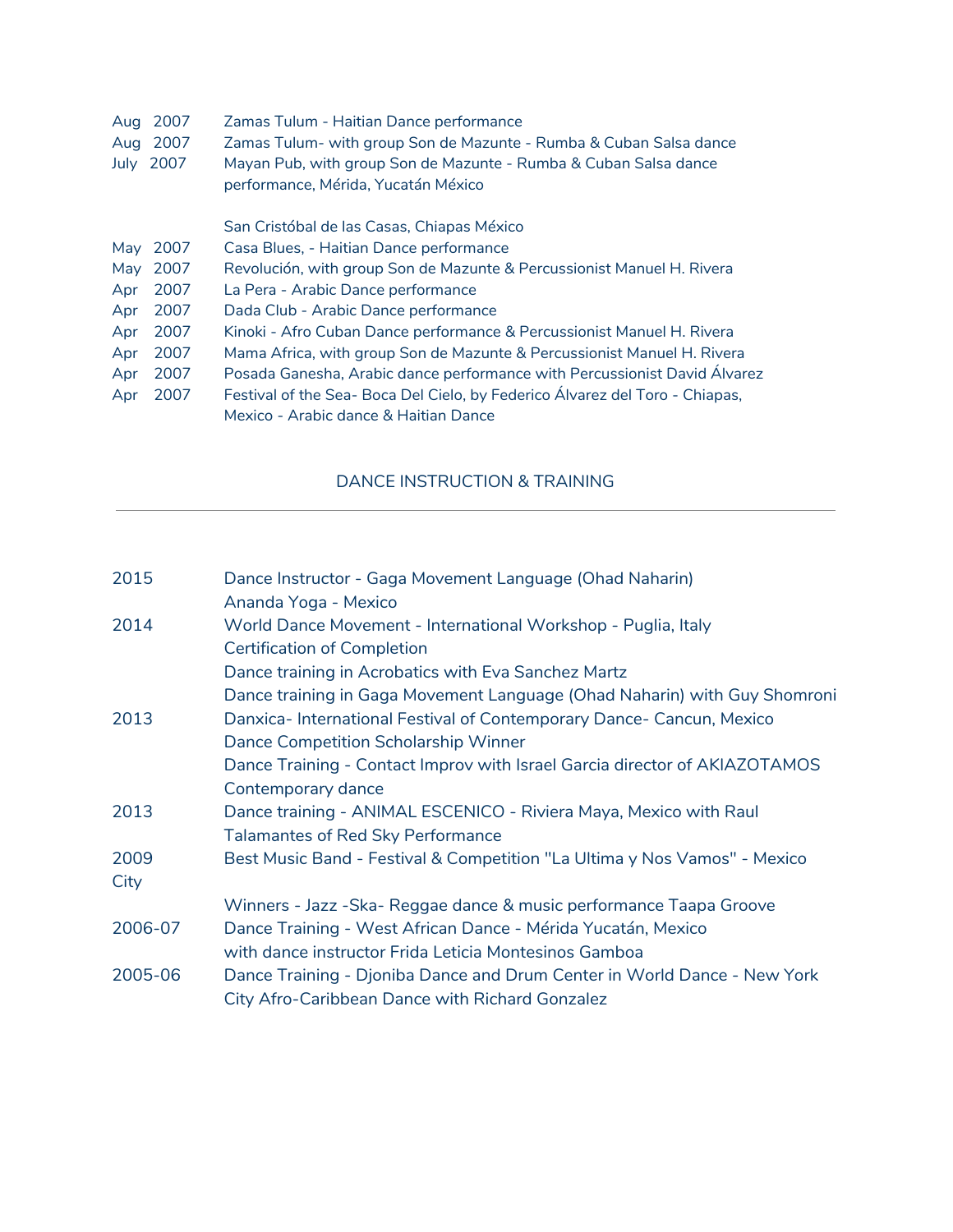| Aug | 2007             | Zamas Tulum - Haitian Dance performance                                                                 |
|-----|------------------|---------------------------------------------------------------------------------------------------------|
|     | Aug 2007         | Zamas Tulum- with group Son de Mazunte - Rumba & Cuban Salsa dance                                      |
|     | <b>July 2007</b> | Mayan Pub, with group Son de Mazunte - Rumba & Cuban Salsa dance<br>performance, Mérida, Yucatán México |
|     |                  |                                                                                                         |
|     |                  | San Cristóbal de las Casas, Chiapas México                                                              |
|     | May 2007         | Casa Blues, - Haitian Dance performance                                                                 |
|     | May 2007         | Revolución, with group Son de Mazunte & Percussionist Manuel H. Rivera                                  |
| Apr | 2007             | La Pera - Arabic Dance performance                                                                      |
| Apr | 2007             | Dada Club - Arabic Dance performance                                                                    |
| Apr | 2007             | Kinoki - Afro Cuban Dance performance & Percussionist Manuel H. Rivera                                  |
| Apr | 2007             | Mama Africa, with group Son de Mazunte & Percussionist Manuel H. Rivera                                 |
| Apr | 2007             | Posada Ganesha, Arabic dance performance with Percussionist David Álvarez                               |
| Apr | 2007             | Festival of the Sea- Boca Del Cielo, by Federico Álvarez del Toro - Chiapas,                            |
|     |                  | Mexico - Arabic dance & Haitian Dance                                                                   |

# DANCE INSTRUCTION & TRAINING

| Dance Instructor - Gaga Movement Language (Ohad Naharin)                   |
|----------------------------------------------------------------------------|
| Ananda Yoga - Mexico                                                       |
| World Dance Movement - International Workshop - Puglia, Italy              |
| <b>Certification of Completion</b>                                         |
| Dance training in Acrobatics with Eva Sanchez Martz                        |
| Dance training in Gaga Movement Language (Ohad Naharin) with Guy Shomroni  |
| Danxica-International Festival of Contemporary Dance-Cancun, Mexico        |
| Dance Competition Scholarship Winner                                       |
| Dance Training - Contact Improv with Israel Garcia director of AKIAZOTAMOS |
| Contemporary dance                                                         |
| Dance training - ANIMAL ESCENICO - Riviera Maya, Mexico with Raul          |
| <b>Talamantes of Red Sky Performance</b>                                   |
| Best Music Band - Festival & Competition "La Ultima y Nos Vamos" - Mexico  |
|                                                                            |
| Winners - Jazz - Ska- Reggae dance & music performance Taapa Groove        |
| Dance Training - West African Dance - Mérida Yucatán, Mexico               |
| with dance instructor Frida Leticia Montesinos Gamboa                      |
| Dance Training - Djoniba Dance and Drum Center in World Dance - New York   |
| City Afro-Caribbean Dance with Richard Gonzalez                            |
|                                                                            |